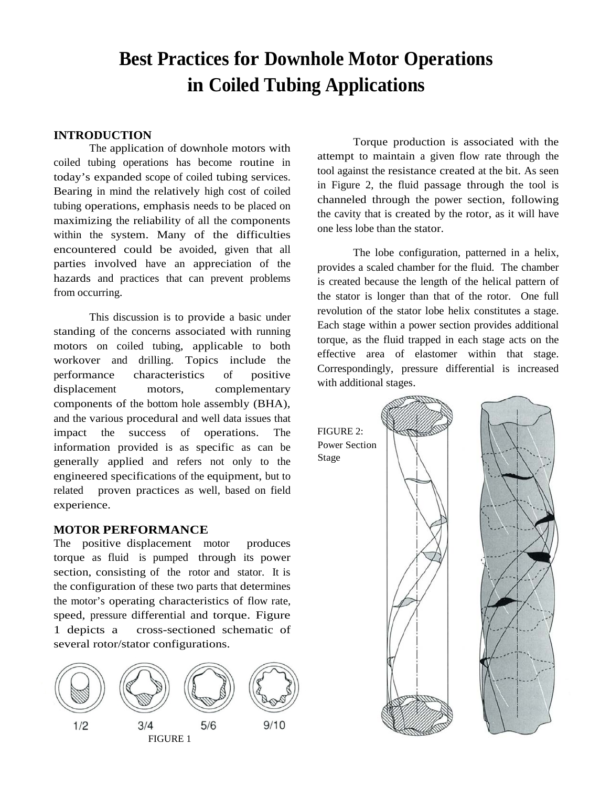# **Best Practices for Downhole Motor Operations in Coiled Tubing Applications**

#### **INTRODUCTION**

The application of downhole motors with coiled tubing operations has become routine in today's expanded scope of coiled tubing services. Bearing in mind the relatively high cost of coiled tubing operations, emphasis needs to be placed on maximizing the reliability of all the components within the system. Many of the difficulties encountered could be avoided, given that all parties involved have an appreciation of the hazards and practices that can prevent problems from occurring.

This discussion is to provide a basic under standing of the concerns associated with running motors on coiled tubing, applicable to both workover and drilling. Topics include the performance characteristics of positive displacement motors, complementary components of the bottom hole assembly (BHA), and the various procedural and well data issues that impact the success of operations. The information provided is as specific as can be generally applied and refers not only to the engineered specifications of the equipment, but to related proven practices as well, based on field experience.

#### **MOTOR PERFORMANCE**

The positive displacement motor produces torque as fluid is pumped through its power section, consisting of the rotor and stator. It is the configuration of these two parts that determines the motor's operating characteristics of flow rate, speed, pressure differential and torque. Figure 1 depicts a cross-sectioned schematic of several rotor/stator configurations.



Torque production is associated with the attempt to maintain a given flow rate through the tool against the resistance created at the bit. As seen in Figure 2, the fluid passage through the tool is channeled through the power section, following the cavity that is created by the rotor, as it will have one less lobe than the stator.

The lobe configuration, patterned in a helix, provides a scaled chamber for the fluid. The chamber is created because the length of the helical pattern of the stator is longer than that of the rotor. One full revolution of the stator lobe helix constitutes a stage. Each stage within a power section provides additional torque, as the fluid trapped in each stage acts on the effective area of elastomer within that stage. Correspondingly, pressure differential is increased with additional stages.

FIGURE 2: Power Section Stage



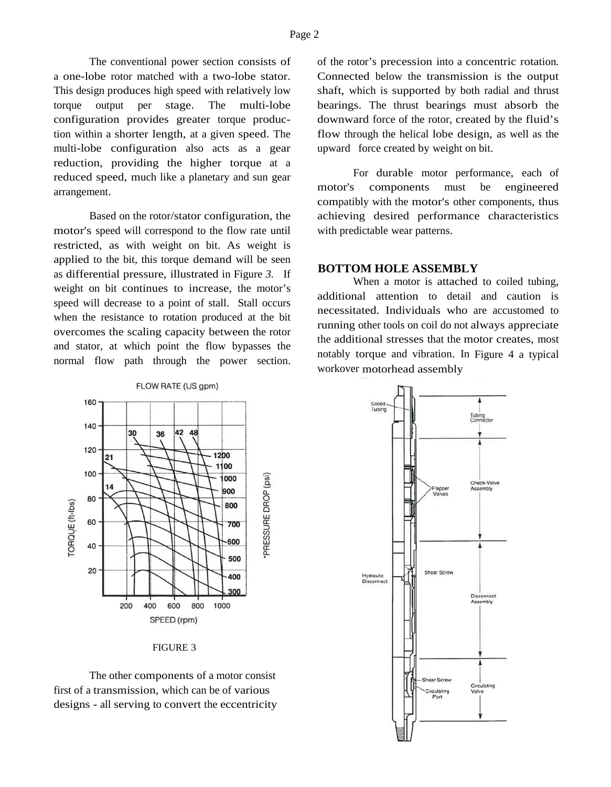The conventional power section consists of a one-lobe rotor matched with a two-lobe stator. This design produces high speed with relatively low torque output per stage. The multi-lobe configuration provides greater torque production within a shorter length, at a given speed. The multi-lobe configuration also acts as a gear reduction, providing the higher torque at a reduced speed, much like a planetary and sun gear arrangement.

Based on the rotor/stator configuration, the motor's speed will correspond to the flow rate until restricted, as with weight on bit. As weight is applied to the bit, this torque demand will be seen as differential pressure, illustrated in Figure *3.* If weight on bit continues to increase, the motor's speed will decrease to a point of stall. Stall occurs when the resistance to rotation produced at the bit overcomes the scaling capacity between the rotor and stator, at which point the flow bypasses the normal flow path through the power section.

FLOW RATE (US gpm)

| FIGURE |  |
|--------|--|
|--------|--|

The other components of a motor consist first of a transmission, which can be of various designs - all serving to convert the eccentricity of the rotor's precession into a concentric rotation. Connected below the transmission is the output shaft, which is supported by both radial and thrust bearings. The thrust bearings must absorb the downward force of the rotor, created by the fluid's flow through the helical lobe design, as well as the upward force created by weight on bit.

For durable motor performance, each of motor's components must be engineered compatibly with the motor's other components, thus achieving desired performance characteristics with predictable wear patterns.

#### **BOTTOM HOLE ASSEMBLY**

When a motor is attached to coiled tubing, additional attention to detail and caution is necessitated. Individuals who are accustomed to running other tools on coil do not always appreciate the additional stresses that the motor creates, most notably torque and vibration. In Figure 4 a typical workover motorhead assembly

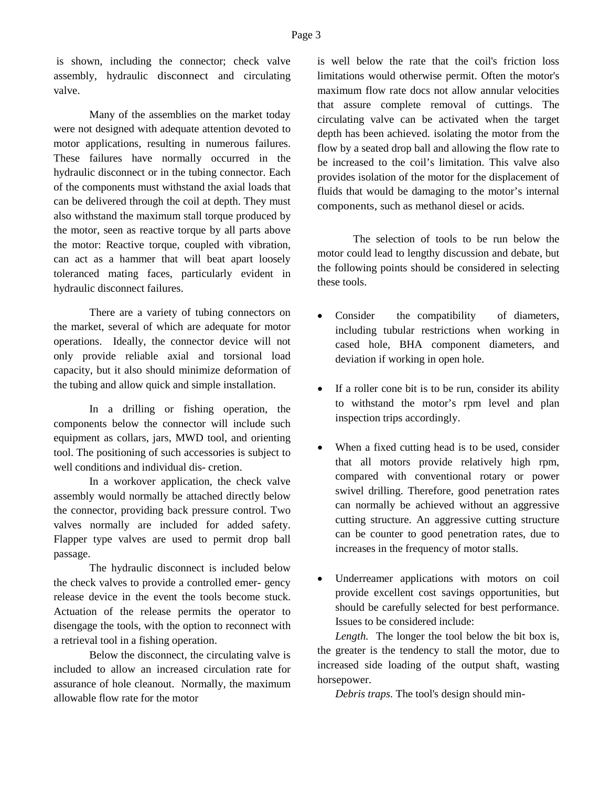is shown, including the connector; check valve assembly, hydraulic disconnect and circulating valve.

Many of the assemblies on the market today were not designed with adequate attention devoted to motor applications, resulting in numerous failures. These failures have normally occurred in the hydraulic disconnect or in the tubing connector. Each of the components must withstand the axial loads that can be delivered through the coil at depth. They must also withstand the maximum stall torque produced by the motor, seen as reactive torque by all parts above the motor: Reactive torque, coupled with vibration, can act as a hammer that will beat apart loosely toleranced mating faces, particularly evident in hydraulic disconnect failures.

There are a variety of tubing connectors on the market, several of which are adequate for motor operations. Ideally, the connector device will not only provide reliable axial and torsional load capacity, but it also should minimize deformation of the tubing and allow quick and simple installation.

In a drilling or fishing operation, the components below the connector will include such equipment as collars, jars, MWD tool, and orienting tool. The positioning of such accessories is subject to well conditions and individual dis- cretion.

In a workover application, the check valve assembly would normally be attached directly below the connector, providing back pressure control. Two valves normally are included for added safety. Flapper type valves are used to permit drop ball passage.

The hydraulic disconnect is included below the check valves to provide a controlled emer- gency release device in the event the tools become stuck. Actuation of the release permits the operator to disengage the tools, with the option to reconnect with a retrieval tool in a fishing operation.

Below the disconnect, the circulating valve is included to allow an increased circulation rate for assurance of hole cleanout. Normally, the maximum allowable flow rate for the motor

is well below the rate that the coil's friction loss limitations would otherwise permit. Often the motor's maximum flow rate docs not allow annular velocities that assure complete removal of cuttings. The circulating valve can be activated when the target depth has been achieved. isolating the motor from the flow by a seated drop ball and allowing the flow rate to be increased to the coil's limitation. This valve also provides isolation of the motor for the displacement of fluids that would be damaging to the motor's internal components, such as methanol diesel or acids.

The selection of tools to be run below the motor could lead to lengthy discussion and debate, but the following points should be considered in selecting these tools.

- Consider the compatibility of diameters, including tubular restrictions when working in cased hole, BHA component diameters, and deviation if working in open hole.
- If a roller cone bit is to be run, consider its ability to withstand the motor's rpm level and plan inspection trips accordingly.
- When a fixed cutting head is to be used, consider that all motors provide relatively high rpm, compared with conventional rotary or power swivel drilling. Therefore, good penetration rates can normally be achieved without an aggressive cutting structure. An aggressive cutting structure can be counter to good penetration rates, due to increases in the frequency of motor stalls.
- Underreamer applications with motors on coil provide excellent cost savings opportunities, but should be carefully selected for best performance. Issues to be considered include:

*Length.* The longer the tool below the bit box is, the greater is the tendency to stall the motor, due to increased side loading of the output shaft, wasting horsepower.

*Debris traps.* The tool's design should min-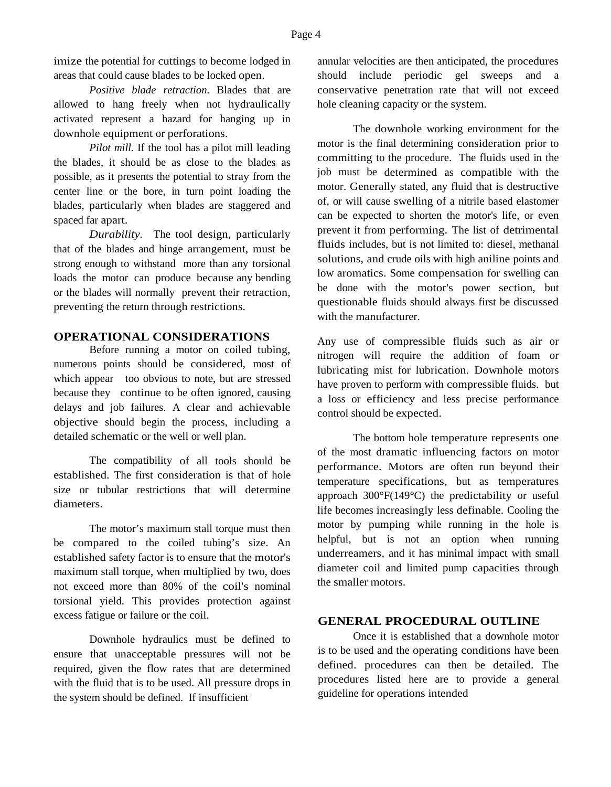imize the potential for cuttings to become lodged in areas that could cause blades to be locked open.

*Positive blade retraction.* Blades that are allowed to hang freely when not hydraulically activated represent a hazard for hanging up in downhole equipment or perforations.

*Pilot mill.* If the tool has a pilot mill leading the blades, it should be as close to the blades as possible, as it presents the potential to stray from the center line or the bore, in turn point loading the blades, particularly when blades are staggered and spaced far apart.

*Durability.* The tool design, particularly that of the blades and hinge arrangement, must be strong enough to withstand more than any torsional loads the motor can produce because any bending or the blades will normally prevent their retraction, preventing the return through restrictions.

# **OPERATIONAL CONSIDERATIONS**

Before running a motor on coiled tubing, numerous points should be considered, most of which appear too obvious to note, but are stressed because they continue to be often ignored, causing delays and job failures. A clear and achievable objective should begin the process, including a detailed schematic or the well or well plan.

The compatibility of all tools should be established. The first consideration is that of hole size or tubular restrictions that will determine diameters.

The motor's maximum stall torque must then be compared to the coiled tubing's size. An established safety factor is to ensure that the motor's maximum stall torque, when multiplied by two, does not exceed more than 80% of the coil's nominal torsional yield. This provides protection against excess fatigue or failure or the coil.

Downhole hydraulics must be defined to ensure that unacceptable pressures will not be required, given the flow rates that are determined with the fluid that is to be used. All pressure drops in the system should be defined. If insufficient

annular velocities are then anticipated, the procedures should include periodic gel sweeps and a conservative penetration rate that will not exceed hole cleaning capacity or the system.

The downhole working environment for the motor is the final determining consideration prior to committing to the procedure. The fluids used in the job must be determined as compatible with the motor. Generally stated, any fluid that is destructive of, or will cause swelling of a nitrile based elastomer can be expected to shorten the motor's life, or even prevent it from performing. The list of detrimental fluids includes, but is not limited to: diesel, methanal solutions, and crude oils with high aniline points and low aromatics. Some compensation for swelling can be done with the motor's power section, but questionable fluids should always first be discussed with the manufacturer.

Any use of compressible fluids such as air or nitrogen will require the addition of foam or lubricating mist for lubrication. Downhole motors have proven to perform with compressible fluids. but a loss or efficiency and less precise performance control should be expected.

The bottom hole temperature represents one of the most dramatic influencing factors on motor performance. Motors are often run beyond their temperature specifications, but as temperatures approach 300°F(149°C) the predictability or useful life becomes increasingly less definable. Cooling the motor by pumping while running in the hole is helpful, but is not an option when running underreamers, and it has minimal impact with small diameter coil and limited pump capacities through the smaller motors.

## **GENERAL PROCEDURAL OUTLINE**

Once it is established that a downhole motor is to be used and the operating conditions have been defined. procedures can then be detailed. The procedures listed here are to provide a general guideline for operations intended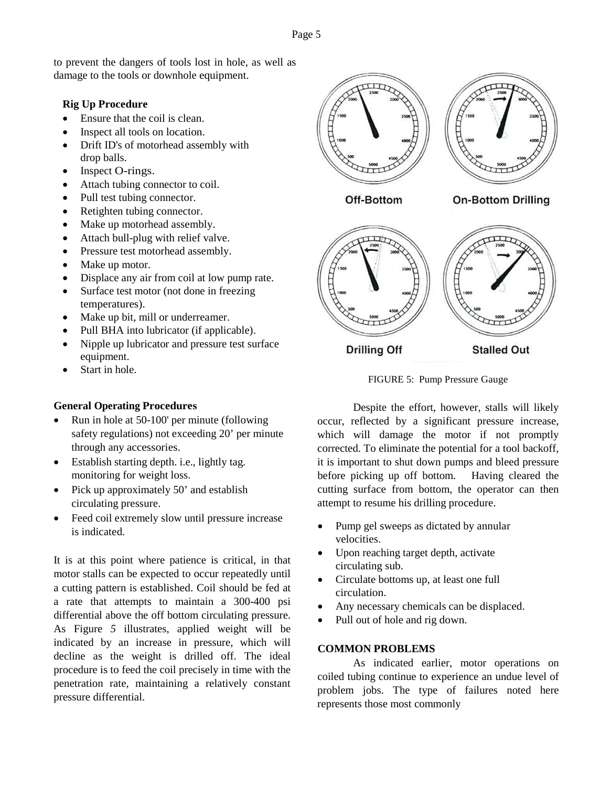Page 5

to prevent the dangers of tools lost in hole, as well as damage to the tools or downhole equipment.

## **Rig Up Procedure**

- Ensure that the coil is clean.
- Inspect all tools on location.
- Drift ID's of motorhead assembly with drop balls.
- Inspect O-rings.
- Attach tubing connector to coil.
- Pull test tubing connector.
- Retighten tubing connector.
- Make up motorhead assembly.
- Attach bull-plug with relief valve.
- Pressure test motorhead assembly.
- Make up motor.
- Displace any air from coil at low pump rate.
- Surface test motor (not done in freezing temperatures).
- Make up bit, mill or underreamer.
- Pull BHA into lubricator (if applicable).
- Nipple up lubricator and pressure test surface equipment.
- Start in hole.

## **General Operating Procedures**

- Run in hole at 50-100' per minute (following safety regulations) not exceeding 20' per minute through any accessories.
- Establish starting depth. *i.e.*, lightly tag. monitoring for weight loss.
- Pick up approximately 50' and establish circulating pressure.
- Feed coil extremely slow until pressure increase is indicated.

It is at this point where patience is critical, in that motor stalls can be expected to occur repeatedly until a cutting pattern is established. Coil should be fed at a rate that attempts to maintain a 300-400 psi differential above the off bottom circulating pressure. As Figure *5* illustrates, applied weight will be indicated by an increase in pressure, which will decline as the weight is drilled off. The ideal procedure is to feed the coil precisely in time with the penetration rate, maintaining a relatively constant pressure differential.



**Drilling Off** 

FIGURE 5: Pump Pressure Gauge

**Stalled Out** 

Despite the effort, however, stalls will likely occur, reflected by a significant pressure increase, which will damage the motor if not promptly corrected. To eliminate the potential for a tool backoff, it is important to shut down pumps and bleed pressure before picking up off bottom. Having cleared the cutting surface from bottom, the operator can then attempt to resume his drilling procedure.

- Pump gel sweeps as dictated by annular velocities.
- Upon reaching target depth, activate circulating sub.
- Circulate bottoms up, at least one full circulation.
- Any necessary chemicals can be displaced.
- Pull out of hole and rig down.

#### **COMMON PROBLEMS**

As indicated earlier, motor operations on coiled tubing continue to experience an undue level of problem jobs. The type of failures noted here represents those most commonly